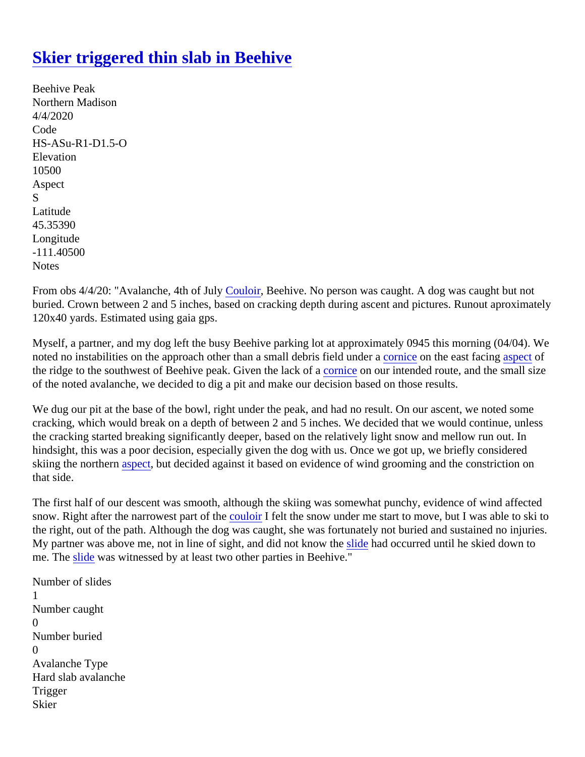## [Skier triggered thin slab in Beehive](https://www.mtavalanche.com/node/22663)

Beehive Peak Northern Madison 4/4/2020 Code HS-ASu-R1-D1.5-O **Elevation** 10500 Aspect S Latitude 45.35390 Longitude -111.40500 **Notes** 

From obs 4/4/20: "Avalanche, 4th of July puloir, Beehive. No person was caught. A dog was caught but not buried. Crown between 2 and 5 inches, based on cracking depth during ascent and pictures. Runout aproxim 120x40 yards. Estimated using gaia gps.

Myself, a partner, and my dog left the busy Beehive parking lot at approximately 0945 this morning (04/04). W notedno instabilities on the approach other than a small debris field under a contract facing spect of the ridge to the southwest of Beehive peak. Given the lack of a cour intended route, and the small size of the noted avalanche, we decided to dig a pit and make our decision based on those results.

We dug our pit at the base of the bowl, right under the peak, and had no result. On our ascent, we noted som cracking, which would break on a depth of between 2 and 5 inches. We decided that we would continue, unle the cracking started breaking significantly deeper, based on the relatively light snow and mellow run out. In hindsight, this was a poor decision, especially given the dog with us. Once we got up, we briefly considered skiing the norther aspect but decided against it based on evidence of wind grooming and the constriction on that side.

The first half of our descent was smooth, although the skiing was somewhat punchy, evidence of wind affecte snow. Right after the narrowest part of the loir I felt the snow under me start to move, but I was able to ski to the right, out of the path. Although the dog was caught, she was fortunately not buried and sustained no injuri My partner was above me, not in line of sight, and did not kno[w the](https://www.mtavalanche.com/taxonomy/term/305) had occurred until he skied down to me. Th[e slide](https://www.mtavalanche.com/taxonomy/term/305) was witnessed by at least two other parties in Beehive."

Number of slides 1 Number caught  $\Omega$ Number buried  $\Omega$ Avalanche Type Hard slab avalanche **Trigger Skier**